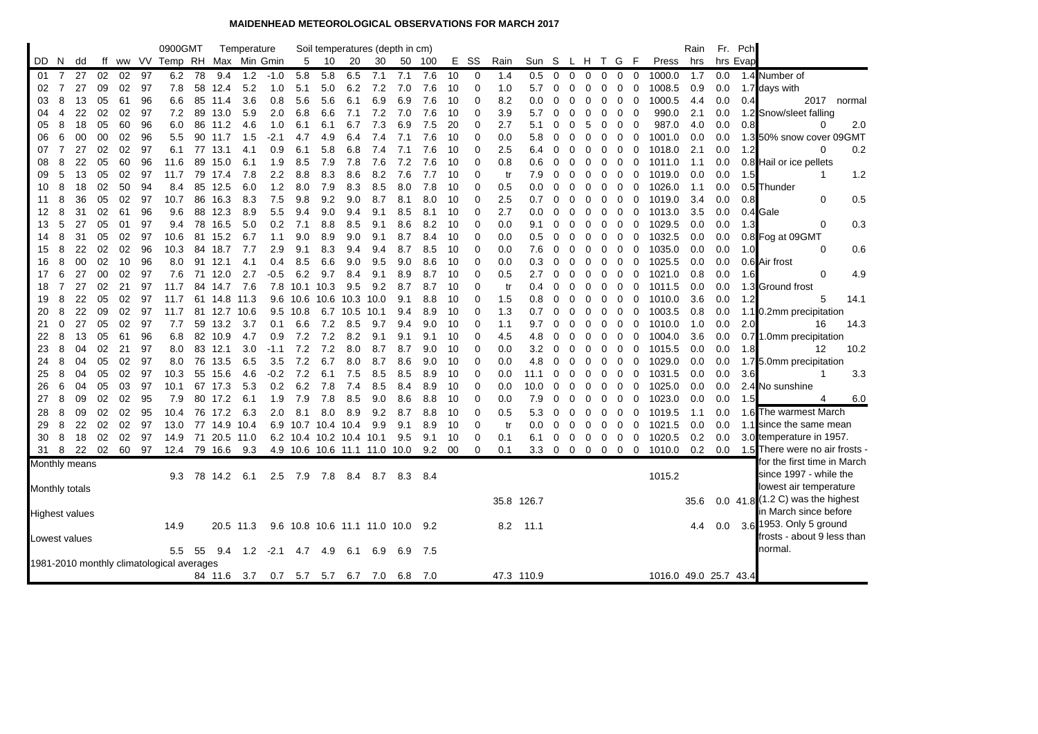## **MAIDENHEAD METEOROLOGICAL OBSERVATIONS FOR MARCH 2017**

|          |                     |                       |          |          |          | 0900GMT                                   |    |                 | Temperature |            |                    |              |                              |             | Soil temperatures (depth in cm)  |            |          |               |            |                 |                |             |                   |                |             |             |                       | Rain       |            | Fr. Pch  |                                  |
|----------|---------------------|-----------------------|----------|----------|----------|-------------------------------------------|----|-----------------|-------------|------------|--------------------|--------------|------------------------------|-------------|----------------------------------|------------|----------|---------------|------------|-----------------|----------------|-------------|-------------------|----------------|-------------|-------------|-----------------------|------------|------------|----------|----------------------------------|
| DD.      | N.                  | dd                    |          |          |          | ff ww VV Temp RH Max Min Gmin             |    |                 |             |            | 5                  | -10          | 20                           | 30          |                                  | 50 100     |          | E SS          | Rain       | Sun S L H T G F |                |             |                   |                |             |             | Press                 | hrs        |            | hrs Evap |                                  |
| 01       | 7                   | 27                    | 02       | 02       | 97       | 6.2                                       | 78 | 9.4             | 1.2         | $-1.0$     | 5.8                | 5.8          | 6.5                          | 7.1         | 7.1                              | 7.6        | 10       | 0             | 1.4        | 0.5             | $\overline{0}$ | $\mathbf 0$ | $\mathbf 0$       | $\mathbf{0}$   | $\mathbf 0$ | 0           | 1000.0                | 1.7        | 0.0        |          | 1.4 Number of                    |
| 02       | 7                   | 27                    | 09       | 02       | 97       | 7.8                                       | 58 | 12.4            | 5.2         | 1.0        | 5.1                | 5.0          | 6.2                          | 7.2         | 7.0                              | 7.6        | 10       | $\mathbf 0$   | 1.0        | 5.7             | 0              | 0           | 0                 | 0              | 0           | 0           | 1008.5                | 0.9        | 0.0        |          | 1.7 days with                    |
| 03       | 8                   | 13                    | 05       | 61       | 96       | 6.6                                       | 85 | 11.4            | 3.6         | 0.8        | 5.6                | 5.6          | 6.1                          | 6.9         | 6.9                              | 7.6        | 10       | $\Omega$      | 8.2        | 0.0             | 0              | 0           | 0                 | 0              | 0           | 0           | 1000.5                | 4.4        | 0.0        | 0.4      | 2017<br>normal                   |
| 04       | 4                   | 22                    | 02       | 02       | 97       | 7.2                                       | 89 | 13.0            | 5.9         | 2.0        | 6.8                | 6.6          | 7.1                          | 7.2         | 7.0                              | 7.6        | 10       | 0             | 3.9        | 5.7             | 0              | 0           | 0                 | 0              | 0           | 0           | 990.0                 | 2.1        | 0.0        |          | 1.2 Snow/sleet falling           |
| 05       | 8                   | 18                    | 05       | 60       | 96       | 6.0                                       | 86 | 11.2            | 4.6         | 1.0        | 6.1                | 6.1          | 6.7                          | 7.3         | 6.9                              | 7.5        | 20       | $\Omega$      | 2.7        | 5.1             | 0              | 0           | 5                 | 0              | 0           | 0           | 987.0                 | 4.0        | 0.0        | 0.8      | 2.0<br>0                         |
| 06       | 6                   | 00                    | 00       | 02       | 96       | 5.5                                       |    | 90 11.7         | 1.5         | -2.1       | 4.7                | 4.9          | 6.4                          | 7.4         | 7.1                              | 7.6        | 10       | $\Omega$      | 0.0        | 5.8             | 0              | 0           | 0                 | 0              | $\mathbf 0$ | 0           | 1001.0                | 0.0        | 0.0        |          | 1.3 50% snow cover 09GMT         |
| 07       | $\overline{7}$      | 27                    | 02       | 02       | 97       | 6.1                                       |    | 77 13.1         | 4.1         | 0.9        | 6.1                | 5.8          | 6.8                          | 7.4         | 7.1                              | 7.6        | 10       | $\mathbf 0$   | 2.5        | 6.4             | 0              | 0           | 0                 | 0              | 0           | 0           | 1018.0                | 2.1        | 0.0        | 1.2      | 0.2<br>0                         |
| 08       | 8                   | 22                    | 05       | 60       | 96       | 11.6                                      | 89 | 15.0            | 6.1         | 1.9        | 8.5                | 7.9          | 7.8                          | 7.6         | 7.2                              | 7.6        | 10       | $\Omega$      | 0.8        | 0.6             | 0              | 0           | Ω                 | 0              | 0           | 0           | 1011.0                | 1.1        | 0.0        |          | 0.8 Hail or ice pellets          |
| 09       | 5                   | 13                    | 05       | 02       | 97       | 11.7                                      | 79 | 17.4            | 7.8         | 2.2        | 8.8                | 8.3          | 8.6                          | 8.2         | 7.6                              | 7.7        | 10       | 0             | tr         | 7.9             | 0              | 0           | 0                 | 0              | 0           | 0           | 1019.0                | 0.0        | 0.0        | 1.5      | 1.2<br>1                         |
| 10       | 8                   | 18                    | 02       | 50       | 94       | 8.4                                       | 85 | 12.5            | 6.0         | 1.2        | 8.0                | 7.9          | 8.3                          | 8.5         | 8.0                              | 7.8        | 10       | $\Omega$      | 0.5        | 0.0             | 0              | 0           | 0                 | 0              | 0           | 0           | 1026.0                | 1.1        | 0.0        |          | 0.5 Thunder                      |
| 11       | 8                   | 36                    | 05       | 02       | 97       | 10.7                                      | 86 | 16.3            | 8.3         | 7.5        | 9.8                | 9.2          | 9.0                          | 8.7         | 8.1                              | 8.0        | 10       | $\Omega$      | 2.5        | 0.7             | 0              | 0           | 0                 | 0              | 0           | 0           | 1019.0                | 3.4        | 0.0        | 0.8      | 0.5<br>0                         |
| 12       | 8                   | 31                    | 02       | 61       | 96       | 9.6                                       | 88 | 12.3            | 8.9         | 5.5        | 9.4                | 9.0          | 9.4                          | 9.1         | 8.5                              | 8.1        | 10       | $\mathbf 0$   | 2.7        | 0.0             | 0              | 0           | 0                 | 0              | 0           | 0           | 1013.0                | 3.5        | 0.0        |          | 0.4 Gale                         |
| 13       | 5                   | 27                    | 05       | 01       | 97       | 9.4                                       | 78 | 16.5            | 5.0         | 0.2        | 7.1                | 8.8          | 8.5                          | 9.1         | 8.6                              | 8.2        | 10       | $\Omega$      | 0.0        | 9.1             | 0              | 0           | 0                 | 0              | 0           | 0           | 1029.5                | 0.0        | 0.0        | 1.3      | 0<br>0.3                         |
| 14       | 8                   | 31                    | 05       | 02       | 97       | 10.6                                      |    | 81 15.2         | 6.7         | 1.1        | 9.0                | 8.9          | 9.0                          | 9.1         | 8.7                              | 8.4        | 10       | $\Omega$      | 0.0        | 0.5             | 0              | 0           | 0                 | 0              | 0           | 0           | 1032.5                | 0.0        | 0.0        |          | 0.8 Fog at 09GMT                 |
| 15       | 8                   | 22                    | 02       | 02       | 96       | 10.3                                      | 84 | 18.7            | 7.7         | 2.9        | 9.1                | 8.3          | 9.4                          | 9.4         | 8.7                              | 8.5        | 10       | $\mathbf 0$   | 0.0        | 7.6             | 0              | 0           | 0                 | 0              | 0           | 0           | 1035.0                | 0.0        | 0.0        | 1.0      | 0.6<br>0                         |
| 16       | 8                   | 00                    | 02       | 10       | 96       | 8.0                                       |    | 91 12.1         | 4.1         | 0.4        | 8.5                | 6.6          | 9.0                          | 9.5         | 9.0                              | 8.6        | 10       | 0<br>$\Omega$ | 0.0        | 0.3             | 0              | 0           | 0                 | 0              | 0           | 0           | 1025.5                | 0.0        | 0.0        |          | 0.6 Air frost                    |
| 17       | 6<br>$\overline{7}$ | 27                    | 00       | 02       | 97       | 7.6                                       |    | 71 12.0<br>14.7 | 2.7<br>7.6  | -0.5       | 6.2                | 9.7          | 8.4                          | 9.1         | 8.9<br>8.7                       | 8.7        | 10       | $\mathbf 0$   | 0.5        | 2.7             | 0              | 0           | 0                 | 0              | 0           | 0           | 1021.0                | 0.8        | 0.0        | 1.6      | 0<br>4.9                         |
| 18<br>19 | 8                   | 27<br>22              | 02<br>05 | 21<br>02 | 97<br>97 | 11.7<br>11.7                              | 84 | 61 14.8         | 11.3        | 7.8<br>9.6 | 10.1<br>10.6       | 10.3<br>10.6 | 9.5<br>10.3                  | 9.2<br>10.0 | 9.1                              | 8.7<br>8.8 | 10<br>10 | $\Omega$      | tr<br>1.5  | 0.4             | 0<br>$\Omega$  | 0<br>0      | 0<br>0            | 0<br>0         | 0<br>0      | $\mathbf 0$ | 1011.5<br>1010.0      | 0.0<br>3.6 | 0.0<br>0.0 | 1.2      | 1.3 Ground frost<br>5<br>14.1    |
| 20       | 8                   | 22                    | 09       | 02       | 97       | 11.7                                      |    | 81 12.7         | 10.6        | 9.5        | 10.8               | 6.7          | 10.5                         | 10.1        | 9.4                              | 8.9        | 10       | $\Omega$      | 1.3        | 0.8<br>0.7      | 0              | 0           | 0                 | 0              | 0           | 0<br>0      | 1003.5                | 0.8        | 0.0        |          | 1.1 0.2mm precipitation          |
| 21       | 0                   | 27                    | 05       | 02       | -97      | 7.7                                       |    | 59 13.2         | 3.7         | 0.1        | 6.6                | 7.2          | 8.5                          | 9.7         | 9.4                              | 9.0        | 10       | $\Omega$      | 1.1        | 9.7             | 0              | 0           | 0                 | 0              | 0           | 0           | 1010.0                | 1.0        | 0.0        | 2.0      | 14.3<br>16                       |
| 22       | 8                   | 13                    | 05       | 61       | 96       | 6.8                                       |    | 82 10.9         | 4.7         | 0.9        | 7.2                | 7.2          | 8.2                          | 9.1         | 9.1                              | 9.1        | 10       | 0             | 4.5        | 4.8             | 0              | 0           | 0                 | 0              | 0           | 0           | 1004.0                | 3.6        | 0.0        | 0.7      | 1.0mm precipitation              |
| 23       | 8                   | 04                    | 02       | 21       | 97       | 8.0                                       |    | 83 12.1         | 3.0         | $-1.1$     | 7.2                | 7.2          | 8.0                          | 8.7         | 8.7                              | 9.0        | 10       | $\mathbf 0$   | 0.0        | 3.2             | $\mathbf 0$    | 0           | 0                 | 0              | 0           | 0           | 1015.5                | 0.0        | 0.0        | 1.8      | 10.2<br>12                       |
| 24       | 8                   | 04                    | 05       | 02       | -97      | 8.0                                       | 76 | 13.5            | 6.5         | 3.5        | 7.2                | 6.7          | 8.0                          | 8.7         | 8.6                              | 9.0        | 10       | $\Omega$      | 0.0        | 4.8             | 0              | 0           | 0                 | 0              | $\mathbf 0$ | 0           | 1029.0                | 0.0        | 0.0        |          | 1.7 5.0mm precipitation          |
| 25       | 8                   | 04                    | 05       | 02       | 97       | 10.3                                      | 55 | 15.6            | 4.6         | -0.2       | 7.2                | 6.1          | 7.5                          | 8.5         | 8.5                              | 8.9        | 10       | 0             | 0.0        | 11.1            | 0              | 0           | 0                 | 0              | 0           | 0           | 1031.5                | 0.0        | 0.0        | 3.6      | 3.3<br>-1                        |
| 26       | 6                   | 04                    | 05       | 03       | 97       | 10.1                                      | 67 | 17.3            | 5.3         | 0.2        | 6.2                | 7.8          | 7.4                          | 8.5         | 8.4                              | 8.9        | 10       | $\Omega$      | 0.0        | 10.0            | 0              | $\Omega$    | 0                 | 0              | 0           | 0           | 1025.0                | 0.0        | 0.0        |          | 2.4 No sunshine                  |
| 27       | 8                   | 09                    | 02       | 02       | 95       | 7.9                                       |    | 80 17.2         | 6.1         | 1.9        | 7.9                | 7.8          | 8.5                          | 9.0         | 8.6                              | 8.8        | 10       | $\Omega$      | 0.0        | 7.9             | 0              | 0           | 0                 | 0              | 0           | 0           | 1023.0                | 0.0        | 0.0        | 1.5      | 4<br>6.0                         |
| 28       | 8                   | 09                    | 02       | 02       | 95       | 10.4                                      |    | 76 17.2         | 6.3         | 2.0        | 8.1                | 8.0          | 8.9                          | 9.2         | 8.7                              | 8.8        | 10       | 0             | 0.5        | 5.3             | 0              | 0           | 0                 | 0              | 0           | 0           | 1019.5                | 1.1        | 0.0        |          | 1.6 The warmest March            |
| 29       | 8                   | 22                    | 02       | 02       | 97       | 13.0                                      |    | 77 14.9 10.4    |             |            | 6.9 10.7 10.4 10.4 |              |                              | 9.9         | 9.1                              | 8.9        | 10       | $\Omega$      | tr         | 0.0             | $\mathbf 0$    | 0           | 0                 | 0              | 0           | $\mathbf 0$ | 1021.5                | 0.0        | 0.0        |          | 1.1 since the same mean          |
| 30       | 8                   | 18                    | 02       | 02       | 97       | 14.9                                      |    | 71 20.5 11.0    |             |            |                    |              | 6.2 10.4 10.2 10.4 10.1      |             | 9.5                              | 9.1        | 10       | 0             | 0.1        | 6.1             | $\Omega$       | $\Omega$    | $\Omega$          | $\overline{0}$ | $\mathbf 0$ | 0           | 1020.5                | 0.2        | 0.0        |          | 3.0 temperature in 1957.         |
| 31       | 8                   | 22                    | 02       | 60       | 97       | 12.4                                      |    | 79 16.6         | 9.3         |            |                    |              | 4.9 10.6 10.6 11.1 11.0 10.0 |             |                                  | 9.2        | 00       | 0             | 0.1        | 3.3             | $\overline{0}$ |             | $0\quad 0\quad 0$ |                | $0\quad 0$  |             | 1010.0                | 0.2        | 0.0        |          | 1.5 There were no air frosts     |
|          |                     | Monthly means         |          |          |          |                                           |    |                 |             |            |                    |              |                              |             |                                  |            |          |               |            |                 |                |             |                   |                |             |             |                       |            |            |          | for the first time in March      |
|          |                     |                       |          |          |          | 9.3                                       |    | 78 14.2         | 6.1         |            | $2.5$ 7.9          | 7.8          |                              | 8.4 8.7     | 8.3                              | 8.4        |          |               |            |                 |                |             |                   |                |             |             | 1015.2                |            |            |          | since 1997 - while the           |
|          |                     | Monthly totals        |          |          |          |                                           |    |                 |             |            |                    |              |                              |             |                                  |            |          |               |            |                 |                |             |                   |                |             |             |                       |            |            |          | lowest air temperature           |
|          |                     |                       |          |          |          |                                           |    |                 |             |            |                    |              |                              |             |                                  |            |          |               | 35.8 126.7 |                 |                |             |                   |                |             |             |                       | 35.6       |            |          | 0.0 41.8 (1.2 C) was the highest |
|          |                     | <b>Highest values</b> |          |          |          |                                           |    |                 |             |            |                    |              |                              |             |                                  |            |          |               |            |                 |                |             |                   |                |             |             |                       |            |            |          | in March since before            |
|          |                     |                       |          |          |          | 14.9                                      |    |                 | 20.5 11.3   |            |                    |              |                              |             | 9.6 10.8 10.6 11.1 11.0 10.0 9.2 |            |          |               | 8.2        | 11.1            |                |             |                   |                |             |             |                       | 4.4        | 0.0        |          | 3.6 1953. Only 5 ground          |
|          |                     | Lowest values         |          |          |          |                                           |    |                 |             |            |                    |              |                              |             |                                  |            |          |               |            |                 |                |             |                   |                |             |             |                       |            |            |          | frosts - about 9 less than       |
|          |                     |                       |          |          |          | 5.5                                       | 55 | 9.4             | 1.2         | $-2.1$     | 4.7                | 4.9          | 6.1                          | 6.9         | 6.9                              | 7.5        |          |               |            |                 |                |             |                   |                |             |             |                       |            |            |          | normal.                          |
|          |                     |                       |          |          |          | 1981-2010 monthly climatological averages |    |                 |             |            |                    |              |                              |             |                                  |            |          |               |            |                 |                |             |                   |                |             |             |                       |            |            |          |                                  |
|          |                     |                       |          |          |          |                                           |    | 84 11.6         | 3.7         | 0.7        | 5.7                | 5.7          | 6.7                          | 7.0         | 6.8                              | 7.0        |          |               | 47.3 110.9 |                 |                |             |                   |                |             |             | 1016.0 49.0 25.7 43.4 |            |            |          |                                  |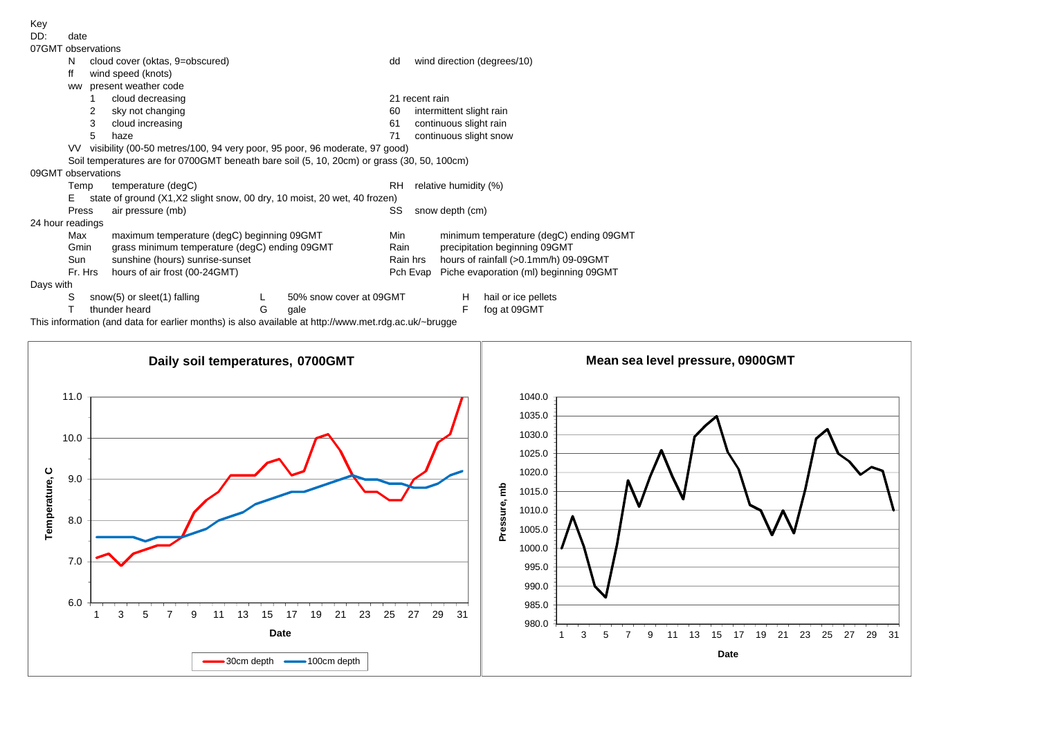DD: date

| 07GMT observations |       |                                                                            |                                                                                            |   |                         |           |                |                                         |                             |  |  |  |  |  |
|--------------------|-------|----------------------------------------------------------------------------|--------------------------------------------------------------------------------------------|---|-------------------------|-----------|----------------|-----------------------------------------|-----------------------------|--|--|--|--|--|
|                    | N     |                                                                            | cloud cover (oktas, 9=obscured)                                                            |   |                         | dd        |                |                                         | wind direction (degrees/10) |  |  |  |  |  |
|                    | ff    |                                                                            | wind speed (knots)                                                                         |   |                         |           |                |                                         |                             |  |  |  |  |  |
|                    | ww    |                                                                            | present weather code                                                                       |   |                         |           |                |                                         |                             |  |  |  |  |  |
|                    |       |                                                                            | cloud decreasing                                                                           |   |                         |           | 21 recent rain |                                         |                             |  |  |  |  |  |
|                    |       | 2                                                                          | sky not changing                                                                           |   |                         | 60        |                | intermittent slight rain                |                             |  |  |  |  |  |
|                    |       | 3                                                                          | cloud increasing                                                                           |   |                         | 61        |                | continuous slight rain                  |                             |  |  |  |  |  |
|                    |       | 5                                                                          | haze                                                                                       |   |                         | 71        |                | continuous slight snow                  |                             |  |  |  |  |  |
|                    | VV -  | visibility (00-50 metres/100, 94 very poor, 95 poor, 96 moderate, 97 good) |                                                                                            |   |                         |           |                |                                         |                             |  |  |  |  |  |
|                    |       |                                                                            | Soil temperatures are for 0700GMT beneath bare soil (5, 10, 20cm) or grass (30, 50, 100cm) |   |                         |           |                |                                         |                             |  |  |  |  |  |
| 09GMT observations |       |                                                                            |                                                                                            |   |                         |           |                |                                         |                             |  |  |  |  |  |
|                    | Temp  |                                                                            | temperature (degC)                                                                         |   |                         | <b>RH</b> |                | relative humidity (%)                   |                             |  |  |  |  |  |
|                    | Е     | state of ground (X1, X2 slight snow, 00 dry, 10 moist, 20 wet, 40 frozen)  |                                                                                            |   |                         |           |                |                                         |                             |  |  |  |  |  |
|                    | Press |                                                                            | air pressure (mb)                                                                          |   |                         | SS        |                | snow depth (cm)                         |                             |  |  |  |  |  |
| 24 hour readings   |       |                                                                            |                                                                                            |   |                         |           |                |                                         |                             |  |  |  |  |  |
|                    | Max   |                                                                            | maximum temperature (degC) beginning 09GMT                                                 |   |                         | Min       |                | minimum temperature (degC) ending 09GMT |                             |  |  |  |  |  |
|                    | Gmin  | grass minimum temperature (degC) ending 09GMT                              |                                                                                            |   |                         | Rain      |                | precipitation beginning 09GMT           |                             |  |  |  |  |  |
|                    | Sun   | sunshine (hours) sunrise-sunset                                            |                                                                                            |   |                         | Rain hrs  |                | hours of rainfall (>0.1mm/h) 09-09GMT   |                             |  |  |  |  |  |
|                    |       | Fr. Hrs<br>hours of air frost (00-24GMT)                                   |                                                                                            |   |                         |           | Pch Evap       | Piche evaporation (ml) beginning 09GMT  |                             |  |  |  |  |  |
| Days with          |       |                                                                            |                                                                                            |   |                         |           |                |                                         |                             |  |  |  |  |  |
|                    | S     |                                                                            | snow(5) or sleet(1) falling                                                                |   | 50% snow cover at 09GMT |           |                | H                                       | hail or ice pellets         |  |  |  |  |  |
|                    |       |                                                                            | thunder heard                                                                              | G | gale                    |           |                | F                                       | fog at 09GMT                |  |  |  |  |  |

This information (and data for earlier months) is also available at http://www.met.rdg.ac.uk/~brugge